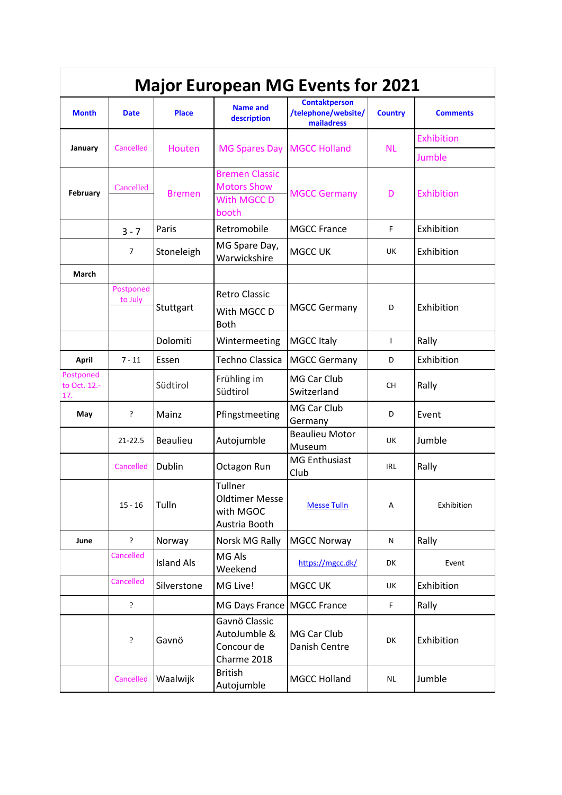| <b>Major European MG Events for 2021</b> |                      |                   |                                                                     |                                                           |                |                 |  |  |  |
|------------------------------------------|----------------------|-------------------|---------------------------------------------------------------------|-----------------------------------------------------------|----------------|-----------------|--|--|--|
| <b>Month</b>                             | <b>Date</b>          | <b>Place</b>      | <b>Name and</b><br>description                                      | <b>Contaktperson</b><br>/telephone/website/<br>mailadress | <b>Country</b> | <b>Comments</b> |  |  |  |
| January                                  | Cancelled            | Houten            | <b>MG Spares Day</b>                                                | <b>MGCC Holland</b>                                       | <b>NL</b>      | Exhibition      |  |  |  |
|                                          |                      |                   |                                                                     |                                                           |                | Jumble          |  |  |  |
| February                                 | Cancelled            | <b>Bremen</b>     | <b>Bremen Classic</b><br><b>Motors Show</b><br>With MGCC D<br>booth | <b>MGCC Germany</b>                                       | D              | Exhibition      |  |  |  |
|                                          | $3 - 7$              | Paris             | Retromobile                                                         | <b>MGCC France</b>                                        | F              | Exhibition      |  |  |  |
|                                          | $\overline{7}$       | Stoneleigh        | MG Spare Day,<br>Warwickshire                                       | <b>MGCC UK</b>                                            | UK             | Exhibition      |  |  |  |
| March                                    |                      |                   |                                                                     |                                                           |                |                 |  |  |  |
|                                          | Postponed<br>to July | Stuttgart         | <b>Retro Classic</b>                                                | <b>MGCC Germany</b>                                       | D              | Exhibition      |  |  |  |
|                                          |                      |                   | With MGCC D<br><b>Both</b>                                          |                                                           |                |                 |  |  |  |
|                                          |                      | Dolomiti          | Wintermeeting                                                       | <b>MGCC Italy</b>                                         | $\mathbf{I}$   | Rally           |  |  |  |
| April                                    | $7 - 11$             | Essen             | <b>Techno Classica</b>                                              | <b>MGCC Germany</b>                                       | D              | Exhibition      |  |  |  |
| Postponed<br>to Oct. 12.-<br>17.         |                      | Südtirol          | Frühling im<br>Südtirol                                             | MG Car Club<br>Switzerland                                | CH.            | Rally           |  |  |  |
| May                                      | ?                    | Mainz             | Pfingstmeeting                                                      | MG Car Club<br>Germany                                    | D              | Event           |  |  |  |
|                                          | $21 - 22.5$          | <b>Beaulieu</b>   | Autojumble                                                          | <b>Beaulieu Motor</b><br>Museum                           | UK             | Jumble          |  |  |  |
|                                          | Cancelled            | Dublin            | Octagon Run                                                         | <b>MG Enthusiast</b><br>Club                              | IRL            | Rally           |  |  |  |
|                                          | $15 - 16$            | Tulln             | Tullner<br><b>Oldtimer Messe</b><br>with MGOC<br>Austria Booth      | <b>Messe Tulln</b>                                        | Α              | Exhibition      |  |  |  |
| June                                     | ?                    | Norway            | Norsk MG Rally                                                      | <b>MGCC Norway</b>                                        | N              | Rally           |  |  |  |
|                                          | Cancelled            | <b>Island Als</b> | MG Als<br>Weekend                                                   | https://mgcc.dk/                                          | DK             | Event           |  |  |  |
|                                          | Cancelled            | Silverstone       | MG Live!                                                            | MGCC UK                                                   | UK             | Exhibition      |  |  |  |
|                                          | $\overline{\cdot}$   |                   | MG Days France MGCC France                                          |                                                           | F              | Rally           |  |  |  |
|                                          | ?                    | Gavnö             | Gavnö Classic<br>AutoJumble &<br>Concour de<br>Charme 2018          | MG Car Club<br>Danish Centre                              | DK             | Exhibition      |  |  |  |
|                                          | Cancelled            | Waalwijk          | <b>British</b><br>Autojumble                                        | <b>MGCC Holland</b>                                       | <b>NL</b>      | Jumble          |  |  |  |